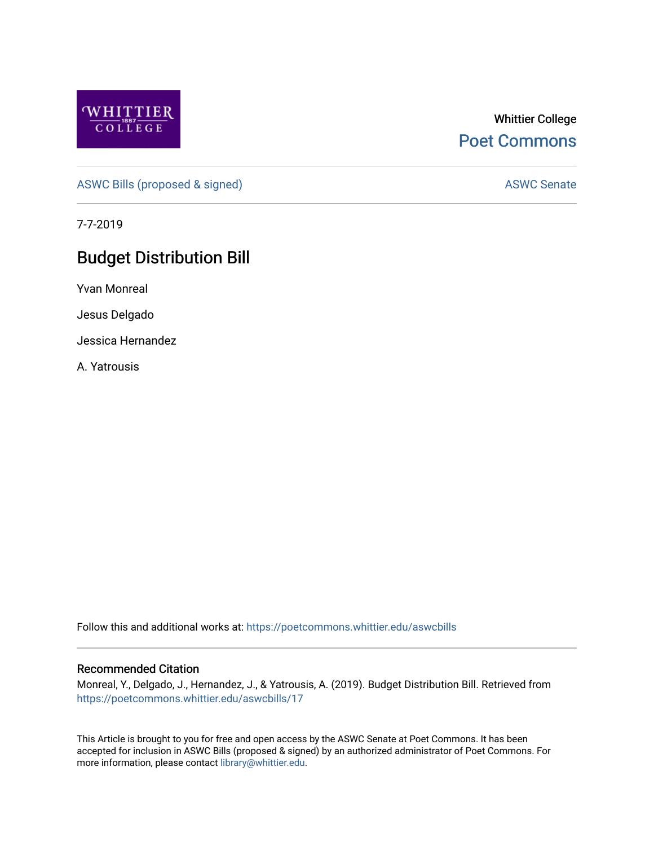

## Whittier College [Poet Commons](https://poetcommons.whittier.edu/)

[ASWC Bills \(proposed & signed\)](https://poetcommons.whittier.edu/aswcbills) ASWC Senate

7-7-2019

# Budget Distribution Bill

Yvan Monreal

Jesus Delgado

Jessica Hernandez

A. Yatrousis

Follow this and additional works at: [https://poetcommons.whittier.edu/aswcbills](https://poetcommons.whittier.edu/aswcbills?utm_source=poetcommons.whittier.edu%2Faswcbills%2F17&utm_medium=PDF&utm_campaign=PDFCoverPages) 

#### Recommended Citation

Monreal, Y., Delgado, J., Hernandez, J., & Yatrousis, A. (2019). Budget Distribution Bill. Retrieved from [https://poetcommons.whittier.edu/aswcbills/17](https://poetcommons.whittier.edu/aswcbills/17?utm_source=poetcommons.whittier.edu%2Faswcbills%2F17&utm_medium=PDF&utm_campaign=PDFCoverPages)

This Article is brought to you for free and open access by the ASWC Senate at Poet Commons. It has been accepted for inclusion in ASWC Bills (proposed & signed) by an authorized administrator of Poet Commons. For more information, please contact [library@whittier.edu.](mailto:library@whittier.edu)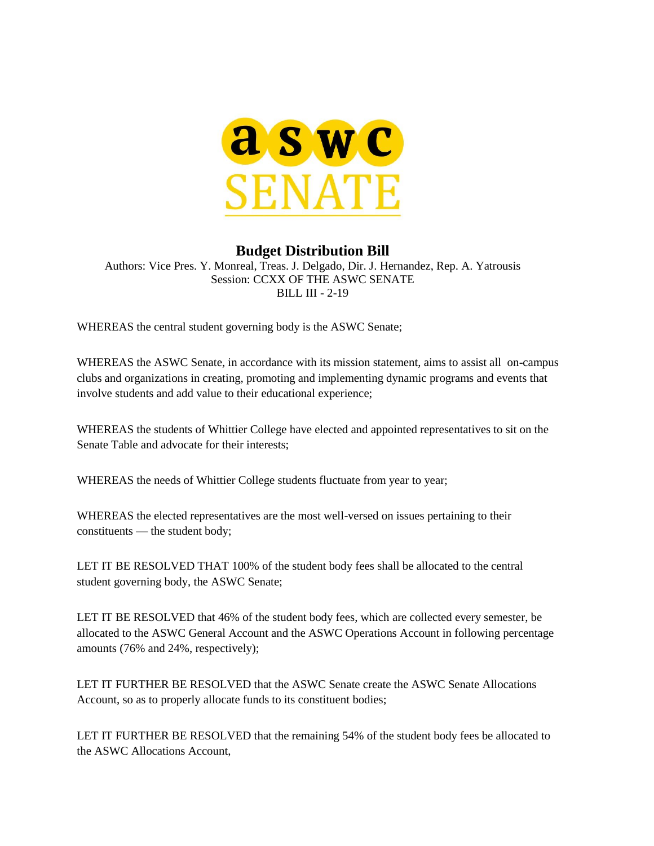

### **Budget Distribution Bill**

Authors: Vice Pres. Y. Monreal, Treas. J. Delgado, Dir. J. Hernandez, Rep. A. Yatrousis Session: CCXX OF THE ASWC SENATE BILL III - 2-19

WHEREAS the central student governing body is the ASWC Senate;

WHEREAS the ASWC Senate, in accordance with its mission statement, aims to assist all on-campus clubs and organizations in creating, promoting and implementing dynamic programs and events that involve students and add value to their educational experience;

WHEREAS the students of Whittier College have elected and appointed representatives to sit on the Senate Table and advocate for their interests;

WHEREAS the needs of Whittier College students fluctuate from year to year;

WHEREAS the elected representatives are the most well-versed on issues pertaining to their constituents — the student body;

LET IT BE RESOLVED THAT 100% of the student body fees shall be allocated to the central student governing body, the ASWC Senate;

LET IT BE RESOLVED that 46% of the student body fees, which are collected every semester, be allocated to the ASWC General Account and the ASWC Operations Account in following percentage amounts (76% and 24%, respectively);

LET IT FURTHER BE RESOLVED that the ASWC Senate create the ASWC Senate Allocations Account, so as to properly allocate funds to its constituent bodies;

LET IT FURTHER BE RESOLVED that the remaining 54% of the student body fees be allocated to the ASWC Allocations Account,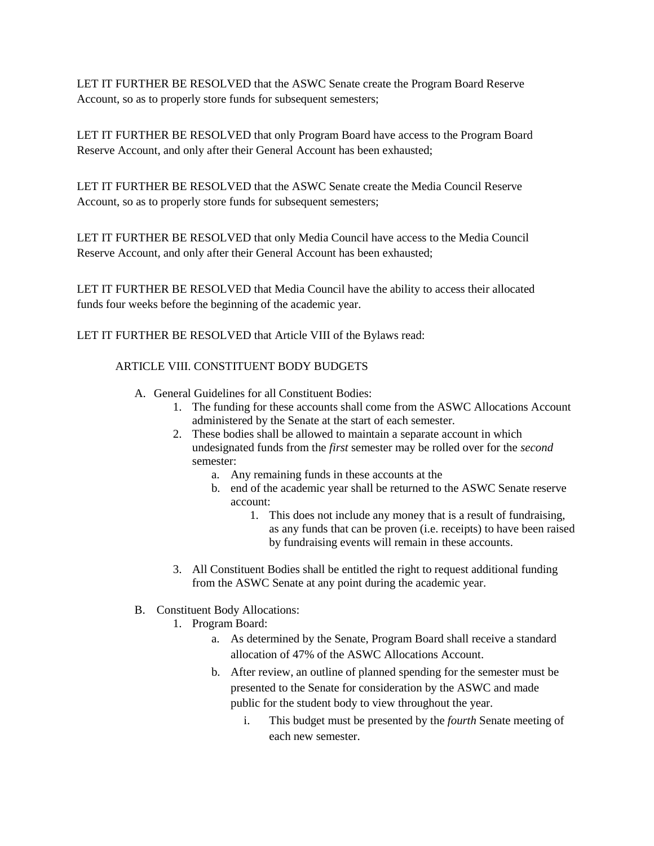LET IT FURTHER BE RESOLVED that the ASWC Senate create the Program Board Reserve Account, so as to properly store funds for subsequent semesters;

LET IT FURTHER BE RESOLVED that only Program Board have access to the Program Board Reserve Account, and only after their General Account has been exhausted;

LET IT FURTHER BE RESOLVED that the ASWC Senate create the Media Council Reserve Account, so as to properly store funds for subsequent semesters;

LET IT FURTHER BE RESOLVED that only Media Council have access to the Media Council Reserve Account, and only after their General Account has been exhausted;

LET IT FURTHER BE RESOLVED that Media Council have the ability to access their allocated funds four weeks before the beginning of the academic year.

LET IT FURTHER BE RESOLVED that Article VIII of the Bylaws read:

#### ARTICLE VIII. CONSTITUENT BODY BUDGETS

- A. General Guidelines for all Constituent Bodies:
	- 1. The funding for these accounts shall come from the ASWC Allocations Account administered by the Senate at the start of each semester.
	- 2. These bodies shall be allowed to maintain a separate account in which undesignated funds from the *first* semester may be rolled over for the *second* semester:
		- a. Any remaining funds in these accounts at the
		- b. end of the academic year shall be returned to the ASWC Senate reserve account:
			- 1. This does not include any money that is a result of fundraising, as any funds that can be proven (i.e. receipts) to have been raised by fundraising events will remain in these accounts.
	- 3. All Constituent Bodies shall be entitled the right to request additional funding from the ASWC Senate at any point during the academic year.
- B. Constituent Body Allocations:
	- 1. Program Board:
		- a. As determined by the Senate, Program Board shall receive a standard allocation of 47% of the ASWC Allocations Account.
		- b. After review, an outline of planned spending for the semester must be presented to the Senate for consideration by the ASWC and made public for the student body to view throughout the year.
			- i. This budget must be presented by the *fourth* Senate meeting of each new semester.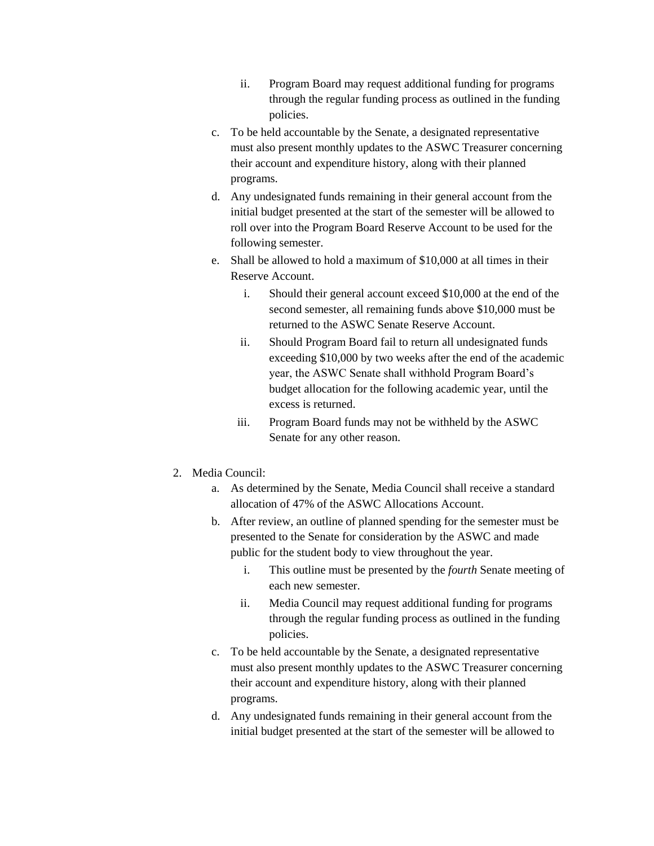- ii. Program Board may request additional funding for programs through the regular funding process as outlined in the funding policies.
- c. To be held accountable by the Senate, a designated representative must also present monthly updates to the ASWC Treasurer concerning their account and expenditure history, along with their planned programs.
- d. Any undesignated funds remaining in their general account from the initial budget presented at the start of the semester will be allowed to roll over into the Program Board Reserve Account to be used for the following semester.
- e. Shall be allowed to hold a maximum of \$10,000 at all times in their Reserve Account.
	- i. Should their general account exceed \$10,000 at the end of the second semester, all remaining funds above \$10,000 must be returned to the ASWC Senate Reserve Account.
	- ii. Should Program Board fail to return all undesignated funds exceeding \$10,000 by two weeks after the end of the academic year, the ASWC Senate shall withhold Program Board's budget allocation for the following academic year, until the excess is returned.
	- iii. Program Board funds may not be withheld by the ASWC Senate for any other reason.
- 2. Media Council:
	- a. As determined by the Senate, Media Council shall receive a standard allocation of 47% of the ASWC Allocations Account.
	- b. After review, an outline of planned spending for the semester must be presented to the Senate for consideration by the ASWC and made public for the student body to view throughout the year.
		- i. This outline must be presented by the *fourth* Senate meeting of each new semester.
		- ii. Media Council may request additional funding for programs through the regular funding process as outlined in the funding policies.
	- c. To be held accountable by the Senate, a designated representative must also present monthly updates to the ASWC Treasurer concerning their account and expenditure history, along with their planned programs.
	- d. Any undesignated funds remaining in their general account from the initial budget presented at the start of the semester will be allowed to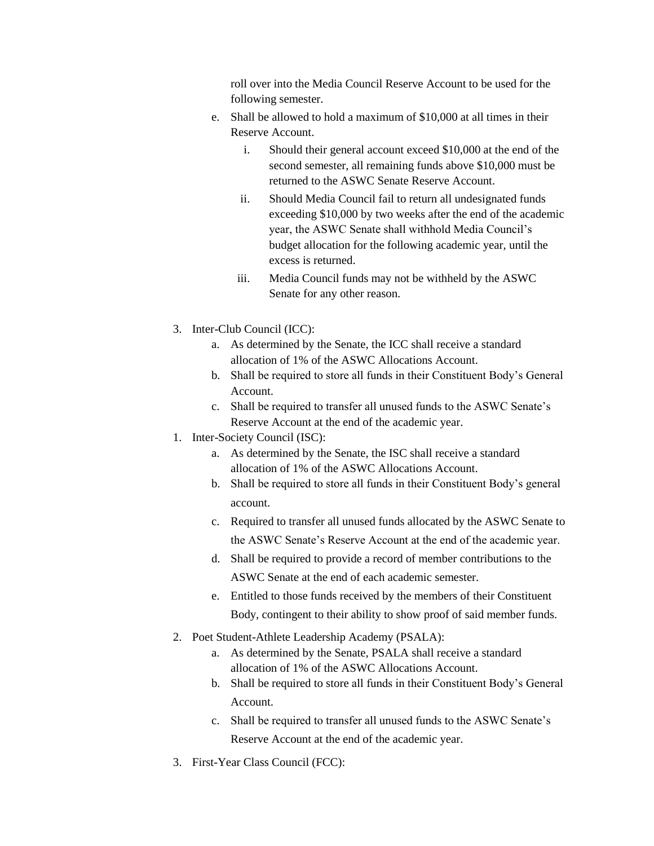roll over into the Media Council Reserve Account to be used for the following semester.

- e. Shall be allowed to hold a maximum of \$10,000 at all times in their Reserve Account.
	- i. Should their general account exceed \$10,000 at the end of the second semester, all remaining funds above \$10,000 must be returned to the ASWC Senate Reserve Account.
	- ii. Should Media Council fail to return all undesignated funds exceeding \$10,000 by two weeks after the end of the academic year, the ASWC Senate shall withhold Media Council's budget allocation for the following academic year, until the excess is returned.
	- iii. Media Council funds may not be withheld by the ASWC Senate for any other reason.
- 3. Inter-Club Council (ICC):
	- a. As determined by the Senate, the ICC shall receive a standard allocation of 1% of the ASWC Allocations Account.
	- b. Shall be required to store all funds in their Constituent Body's General Account.
	- c. Shall be required to transfer all unused funds to the ASWC Senate's Reserve Account at the end of the academic year.
- 1. Inter-Society Council (ISC):
	- a. As determined by the Senate, the ISC shall receive a standard allocation of 1% of the ASWC Allocations Account.
	- b. Shall be required to store all funds in their Constituent Body's general account.
	- c. Required to transfer all unused funds allocated by the ASWC Senate to the ASWC Senate's Reserve Account at the end of the academic year.
	- d. Shall be required to provide a record of member contributions to the ASWC Senate at the end of each academic semester.
	- e. Entitled to those funds received by the members of their Constituent Body, contingent to their ability to show proof of said member funds.
- 2. Poet Student-Athlete Leadership Academy (PSALA):
	- a. As determined by the Senate, PSALA shall receive a standard allocation of 1% of the ASWC Allocations Account.
	- b. Shall be required to store all funds in their Constituent Body's General Account.
	- c. Shall be required to transfer all unused funds to the ASWC Senate's Reserve Account at the end of the academic year.
- 3. First-Year Class Council (FCC):